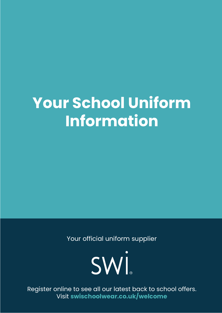# **Your School Uniform Information**

Your official uniform supplier



Register online to see all our latest back to school offers. Visit **swischoolwear.co.uk/welcome**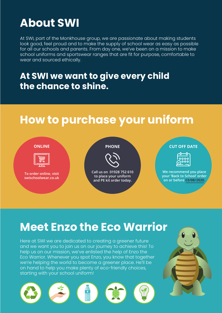## **About SWI**

At SWI, part of the Monkhouse group, we are passionate about making students look good, feel proud and to make the supply of school wear as easy as possible for all our schools and parents. From day one, we've been on a mission to make school uniforms and sportswear ranges that are fit for purpose, comfortable to wear and sourced ethically.

### **At SWI we want to give every child the chance to shine.**

## **How to purchase your uniform**



## **Meet Enzo the Eco Warrior**

Here at SWI we are dedicated to creating a greener future and we want you to join us on our journey to achieve this! To help us on our mission, we've enlisted the help of Enzo the Eco Warrior. Whenever you spot Enzo, you know that together we're helping the world to become a greener place. He'll be on hand to help you make plenty of eco-friendly choices, starting with your school uniform!

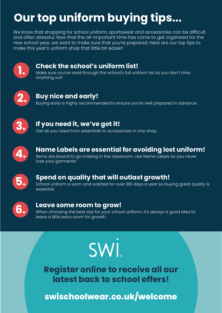## **Our top uniform buying tips...**

We know that shopping for school uniform, sportswear and accessories can be difficult and often stressful. Now that the all-important time has come to get organised for the new school year, we want to make sure that you're prepared. Here are our top tips to make this year's uniform shop that little bit easier!





## **3.** If you need it, we've got it!<br>Get all you need from essentials to accessories in one shop.



### **Name Labels are essential for avoiding lost uniform!**

Items are bound to go missing in the classroom. Use Name Labels so you never lose your garments!



#### **Spend on quality that will outlast growth!**

School uniform is worn and washed for over 180 days a year so buying great quality is essential.



#### **Leave some room to grow!**

When choosing the best size for your school uniform, it's always a good idea to leave a little extra room for growth.

# SWİ

**Register online to receive all our latest back to school offers!**

**swischoolwear.co.uk/welcome**